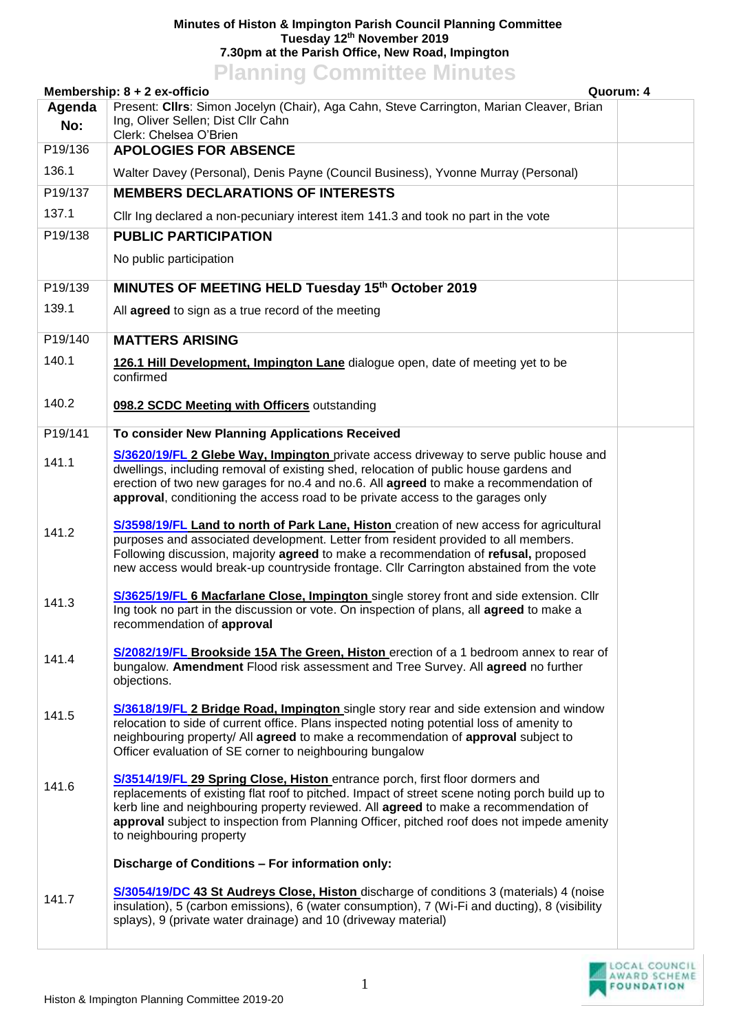## **Minutes of Histon & Impington Parish Council Planning Committee Tuesday 12th November 2019 7.30pm at the Parish Office, New Road, Impington Planning Committee Minutes**

| <b>FIGHTING CONTINUES MINUTES</b><br>Membership: 8 + 2 ex-officio<br>Quorum: 4                     |                                                                                                                                                                                                                                                                                                                                                                                                  |  |  |  |
|----------------------------------------------------------------------------------------------------|--------------------------------------------------------------------------------------------------------------------------------------------------------------------------------------------------------------------------------------------------------------------------------------------------------------------------------------------------------------------------------------------------|--|--|--|
| Present: Cllrs: Simon Jocelyn (Chair), Aga Cahn, Steve Carrington, Marian Cleaver, Brian<br>Agenda |                                                                                                                                                                                                                                                                                                                                                                                                  |  |  |  |
| No:                                                                                                | Ing, Oliver Sellen; Dist Cllr Cahn<br>Clerk: Chelsea O'Brien                                                                                                                                                                                                                                                                                                                                     |  |  |  |
| P19/136                                                                                            | <b>APOLOGIES FOR ABSENCE</b>                                                                                                                                                                                                                                                                                                                                                                     |  |  |  |
| 136.1                                                                                              | Walter Davey (Personal), Denis Payne (Council Business), Yvonne Murray (Personal)                                                                                                                                                                                                                                                                                                                |  |  |  |
| P19/137                                                                                            | <b>MEMBERS DECLARATIONS OF INTERESTS</b>                                                                                                                                                                                                                                                                                                                                                         |  |  |  |
| 137.1                                                                                              | Cllr Ing declared a non-pecuniary interest item 141.3 and took no part in the vote                                                                                                                                                                                                                                                                                                               |  |  |  |
| P19/138                                                                                            | <b>PUBLIC PARTICIPATION</b>                                                                                                                                                                                                                                                                                                                                                                      |  |  |  |
|                                                                                                    | No public participation                                                                                                                                                                                                                                                                                                                                                                          |  |  |  |
| P19/139                                                                                            | MINUTES OF MEETING HELD Tuesday 15th October 2019                                                                                                                                                                                                                                                                                                                                                |  |  |  |
| 139.1                                                                                              | All agreed to sign as a true record of the meeting                                                                                                                                                                                                                                                                                                                                               |  |  |  |
| P19/140                                                                                            | <b>MATTERS ARISING</b>                                                                                                                                                                                                                                                                                                                                                                           |  |  |  |
| 140.1                                                                                              | 126.1 Hill Development, Impington Lane dialogue open, date of meeting yet to be<br>confirmed                                                                                                                                                                                                                                                                                                     |  |  |  |
| 140.2                                                                                              | 098.2 SCDC Meeting with Officers outstanding                                                                                                                                                                                                                                                                                                                                                     |  |  |  |
| P19/141                                                                                            | To consider New Planning Applications Received                                                                                                                                                                                                                                                                                                                                                   |  |  |  |
| 141.1                                                                                              | S/3620/19/FL 2 Glebe Way, Impington private access driveway to serve public house and<br>dwellings, including removal of existing shed, relocation of public house gardens and<br>erection of two new garages for no.4 and no.6. All agreed to make a recommendation of<br>approval, conditioning the access road to be private access to the garages only                                       |  |  |  |
| 141.2                                                                                              | S/3598/19/FL Land to north of Park Lane, Histon creation of new access for agricultural<br>purposes and associated development. Letter from resident provided to all members.<br>Following discussion, majority agreed to make a recommendation of refusal, proposed<br>new access would break-up countryside frontage. Cllr Carrington abstained from the vote                                  |  |  |  |
| 141.3                                                                                              | S/3625/19/FL 6 Macfarlane Close, Impington single storey front and side extension. Cllr<br>Ing took no part in the discussion or vote. On inspection of plans, all agreed to make a<br>recommendation of approval                                                                                                                                                                                |  |  |  |
| 141.4                                                                                              | S/2082/19/FL Brookside 15A The Green, Histon erection of a 1 bedroom annex to rear of<br>bungalow. Amendment Flood risk assessment and Tree Survey. All agreed no further<br>objections.                                                                                                                                                                                                         |  |  |  |
| 141.5                                                                                              | S/3618/19/FL 2 Bridge Road, Impington single story rear and side extension and window<br>relocation to side of current office. Plans inspected noting potential loss of amenity to<br>neighbouring property/ All agreed to make a recommendation of approval subject to<br>Officer evaluation of SE corner to neighbouring bungalow                                                              |  |  |  |
| 141.6                                                                                              | S/3514/19/FL 29 Spring Close, Histon entrance porch, first floor dormers and<br>replacements of existing flat roof to pitched. Impact of street scene noting porch build up to<br>kerb line and neighbouring property reviewed. All agreed to make a recommendation of<br>approval subject to inspection from Planning Officer, pitched roof does not impede amenity<br>to neighbouring property |  |  |  |
|                                                                                                    | Discharge of Conditions - For information only:                                                                                                                                                                                                                                                                                                                                                  |  |  |  |
| 141.7                                                                                              | S/3054/19/DC 43 St Audreys Close, Histon discharge of conditions 3 (materials) 4 (noise<br>insulation), 5 (carbon emissions), 6 (water consumption), 7 (Wi-Fi and ducting), 8 (visibility<br>splays), 9 (private water drainage) and 10 (driveway material)                                                                                                                                      |  |  |  |